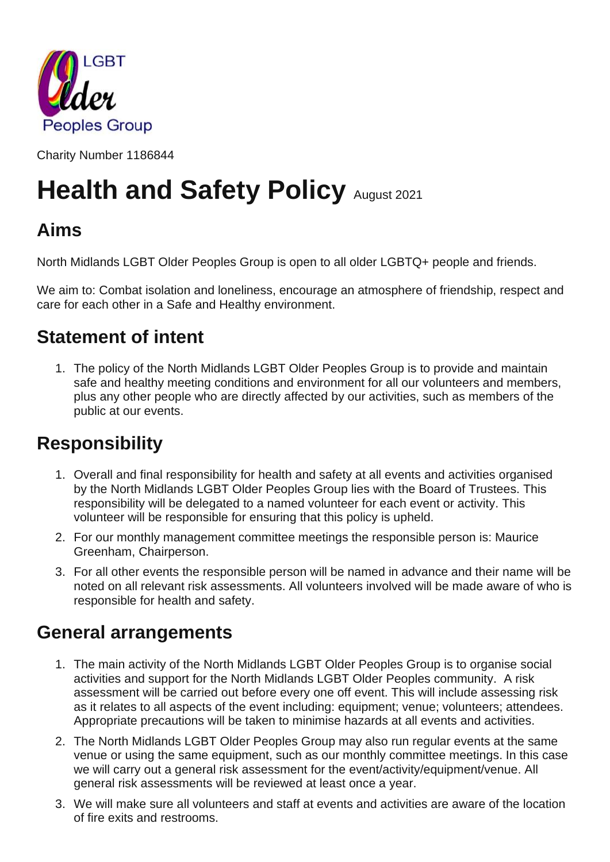

Charity Number 1186844

# **Health and Safety Policy August 2021**

# **Aims**

North Midlands LGBT Older Peoples Group is open to all older LGBTQ+ people and friends.

We aim to: Combat isolation and loneliness, encourage an atmosphere of friendship, respect and care for each other in a Safe and Healthy environment.

## **Statement of intent**

1. The policy of the North Midlands LGBT Older Peoples Group is to provide and maintain safe and healthy meeting conditions and environment for all our volunteers and members, plus any other people who are directly affected by our activities, such as members of the public at our events.

# **Responsibility**

- 1. Overall and final responsibility for health and safety at all events and activities organised by the North Midlands LGBT Older Peoples Group lies with the Board of Trustees. This responsibility will be delegated to a named volunteer for each event or activity. This volunteer will be responsible for ensuring that this policy is upheld.
- 2. For our monthly management committee meetings the responsible person is: Maurice Greenham, Chairperson.
- 3. For all other events the responsible person will be named in advance and their name will be noted on all relevant risk assessments. All volunteers involved will be made aware of who is responsible for health and safety.

## **General arrangements**

- 1. The main activity of the North Midlands LGBT Older Peoples Group is to organise social activities and support for the North Midlands LGBT Older Peoples community. A risk assessment will be carried out before every one off event. This will include assessing risk as it relates to all aspects of the event including: equipment; venue; volunteers; attendees. Appropriate precautions will be taken to minimise hazards at all events and activities.
- 2. The North Midlands LGBT Older Peoples Group may also run regular events at the same venue or using the same equipment, such as our monthly committee meetings. In this case we will carry out a general risk assessment for the event/activity/equipment/venue. All general risk assessments will be reviewed at least once a year.
- 3. We will make sure all volunteers and staff at events and activities are aware of the location of fire exits and restrooms.